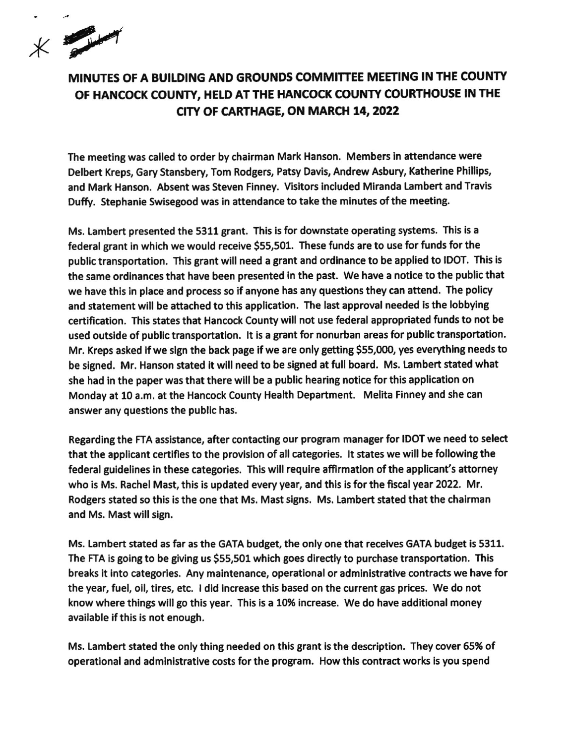$x \rightarrow y$ 

## MINUTES OF A BUILDING AND GROUNDS COMMITTEE MEETING IN THE COUNTY OF HANCOCK COUNTY, HELD AT THE HANCOCK COUNTY COURTHOUSE !N THE CITY OF CARTHAGE, ON MARCH 14, 2022

The meetlng was called to order by chalrman Mark Hanson. Members in attendance were Delbert Kreps, Gary Stansbery, Tom Rodgers, Patsy Davis, Andrew Asbury, Katherine Phillips, and Mark Hanson. Absent was Steven Finney. Visitors included Miranda Lambert and Travis Duffy. Stephanie Swisegood was in attendance to take the minutes of the meeting.

Ms. Lambert presented the 5311 grant. This is for downstate operating systems. This is a federal grant in which we would receive 555,501. These funds are to use for funds for the public transportation. This grant will need a grant and ordinance to be applied to IDOT. This is the same ordinances that have been presented in the past. We have a notice to the public that we have this in place and process so if anyone has any questions they can attend. The policy and statement will be attached to this application. The last approval needed is the lobbying certification, Thls states that Hancock County will not use federal appropriated funds to not be used outside of public transportation. It is a grant for nonurban areas for public transportation. Mr. Kreps asked if we sign the back page if we are only getting \$55,000, yes everything needs to be signed. Mr. Hanson stated lt wlll need to be slgned at full board, Ms, Lambert stated what she had in the paper was that there will be a public hearing notice for this application on Monday at 10 a.m. at the Hancock County Health Department. Melita Finney and she can answer any questions the public has.

Regarding the FTA asslstance, after contacting our program manager for IDOT we need to select that the applicant certifies to the provision of all categories. lt states we will be following the federal guldelines in these categories. This will require affirmation of the applicant's attorney who is Ms. Rachel Mast, this is updated every year, and this is for the fiscal year 2022. Mr. Rodgers stated so this is the one that Ms. Mast signs. Ms. Lambert stated that the chairman and Ms. Mast will sign.

Ms. Lambert stated as far as the GATA budget, the only one that receives GATA budget is 5311. The FTA is going to be glving us \$55,501 which goes directly to purchase transportation, This breaks it into categories. Any maintenance, operational or administrative contracts we have fior the year, fuel, oil, tires, etc. I did increase this based on the current gas prices. We do not know where things will go this year. This is a 10% increase. We do have additional money available if this is not enough.

Ms. Lambert stated the only thing needed on this grant is the description. They cover 65% of operational and administrative costs for the program. How this contract works is you spend